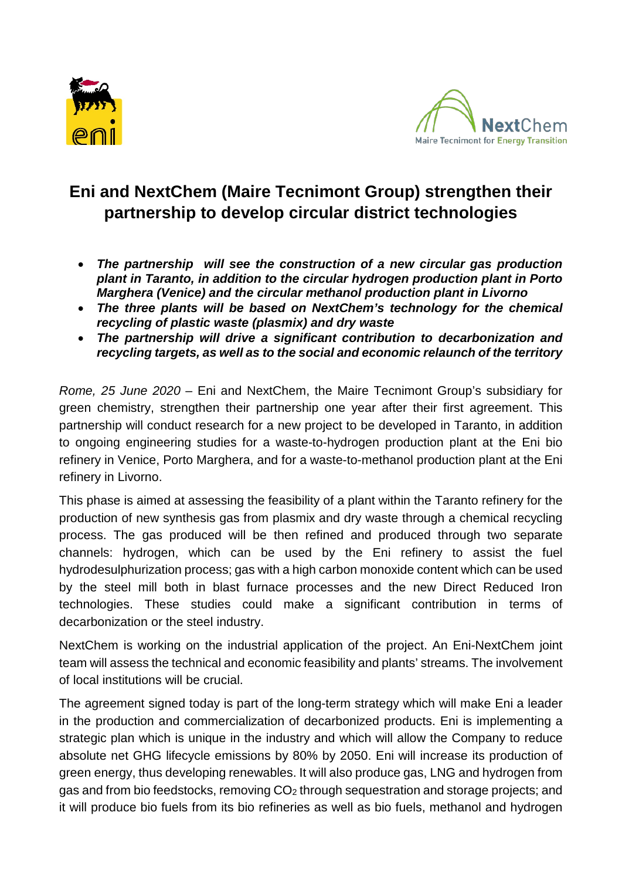



## **Eni and NextChem (Maire Tecnimont Group) strengthen their partnership to develop circular district technologies**

- *The partnership will see the construction of a new circular gas production plant in Taranto, in addition to the circular hydrogen production plant in Porto Marghera (Venice) and the circular methanol production plant in Livorno*
- *The three plants will be based on NextChem's technology for the chemical recycling of plastic waste (plasmix) and dry waste*
- *The partnership will drive a significant contribution to decarbonization and recycling targets, as well as to the social and economic relaunch of the territory*

*Rome, 25 June 2020* – Eni and NextChem, the Maire Tecnimont Group's subsidiary for green chemistry, strengthen their partnership one year after their first agreement. This partnership will conduct research for a new project to be developed in Taranto, in addition to ongoing engineering studies for a waste-to-hydrogen production plant at the Eni bio refinery in Venice, Porto Marghera, and for a waste-to-methanol production plant at the Eni refinery in Livorno.

This phase is aimed at assessing the feasibility of a plant within the Taranto refinery for the production of new synthesis gas from plasmix and dry waste through a chemical recycling process. The gas produced will be then refined and produced through two separate channels: hydrogen, which can be used by the Eni refinery to assist the fuel hydrodesulphurization process; gas with a high carbon monoxide content which can be used by the steel mill both in blast furnace processes and the new Direct Reduced Iron technologies. These studies could make a significant contribution in terms of decarbonization or the steel industry.

NextChem is working on the industrial application of the project. An Eni-NextChem joint team will assess the technical and economic feasibility and plants' streams. The involvement of local institutions will be crucial.

The agreement signed today is part of the long-term strategy which will make Eni a leader in the production and commercialization of decarbonized products. Eni is implementing a strategic plan which is unique in the industry and which will allow the Company to reduce absolute net GHG lifecycle emissions by 80% by 2050. Eni will increase its production of green energy, thus developing renewables. It will also produce gas, LNG and hydrogen from gas and from bio feedstocks, removing CO<sub>2</sub> through sequestration and storage projects; and it will produce bio fuels from its bio refineries as well as bio fuels, methanol and hydrogen